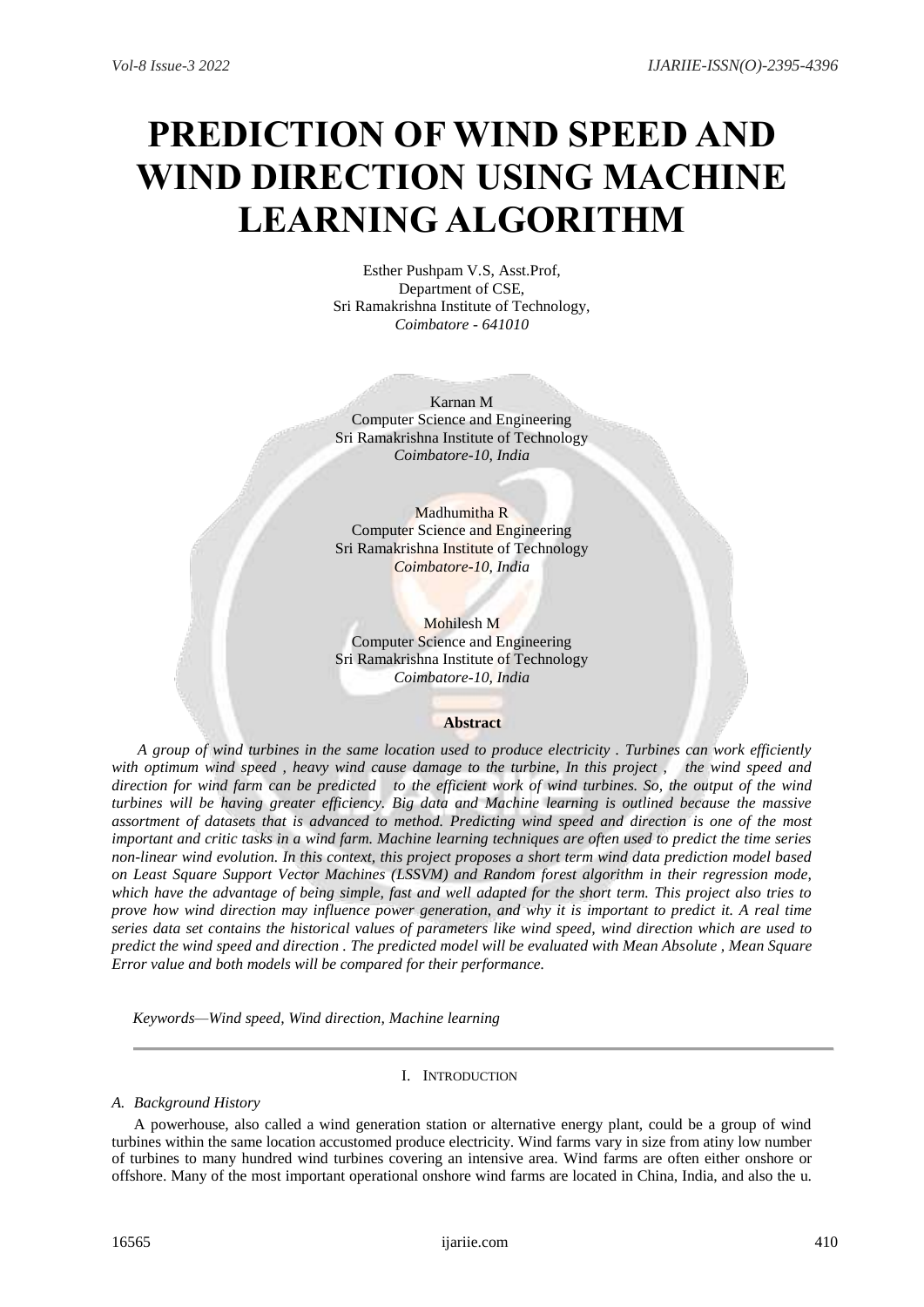# **PREDICTION OF WIND SPEED AND WIND DIRECTION USING MACHINE LEARNING ALGORITHM**

Esther Pushpam V.S, Asst.Prof, Department of CSE, Sri Ramakrishna Institute of Technology, *Coimbatore - 641010*

Karnan M Computer Science and Engineering Sri Ramakrishna Institute of Technology *Coimbatore-10, India*

Madhumitha R Computer Science and Engineering Sri Ramakrishna Institute of Technology *Coimbatore-10, India*

Mohilesh M Computer Science and Engineering Sri Ramakrishna Institute of Technology *Coimbatore-10, India*

## **Abstract**

*A group of wind turbines in the same location used to produce electricity . Turbines can work efficiently with optimum wind speed , heavy wind cause damage to the turbine, In this project , the wind speed and direction for wind farm can be predicted to the efficient work of wind turbines. So, the output of the wind turbines will be having greater efficiency. Big data and Machine learning is outlined because the massive assortment of datasets that is advanced to method. Predicting wind speed and direction is one of the most important and critic tasks in a wind farm. Machine learning techniques are often used to predict the time series non-linear wind evolution. In this context, this project proposes a short term wind data prediction model based on Least Square Support Vector Machines (LSSVM) and Random forest algorithm in their regression mode, which have the advantage of being simple, fast and well adapted for the short term. This project also tries to prove how wind direction may influence power generation, and why it is important to predict it. A real time series data set contains the historical values of parameters like wind speed, wind direction which are used to predict the wind speed and direction . The predicted model will be evaluated with Mean Absolute , Mean Square Error value and both models will be compared for their performance.*

*Keywords—Wind speed, Wind direction, Machine learning*

# I. INTRODUCTION

#### *A. Background History*

A powerhouse, also called a wind generation station or alternative energy plant, could be a group of wind turbines within the same location accustomed produce electricity. Wind farms vary in size from atiny low number of turbines to many hundred wind turbines covering an intensive area. Wind farms are often either onshore or offshore. Many of the most important operational onshore wind farms are located in China, India, and also the u.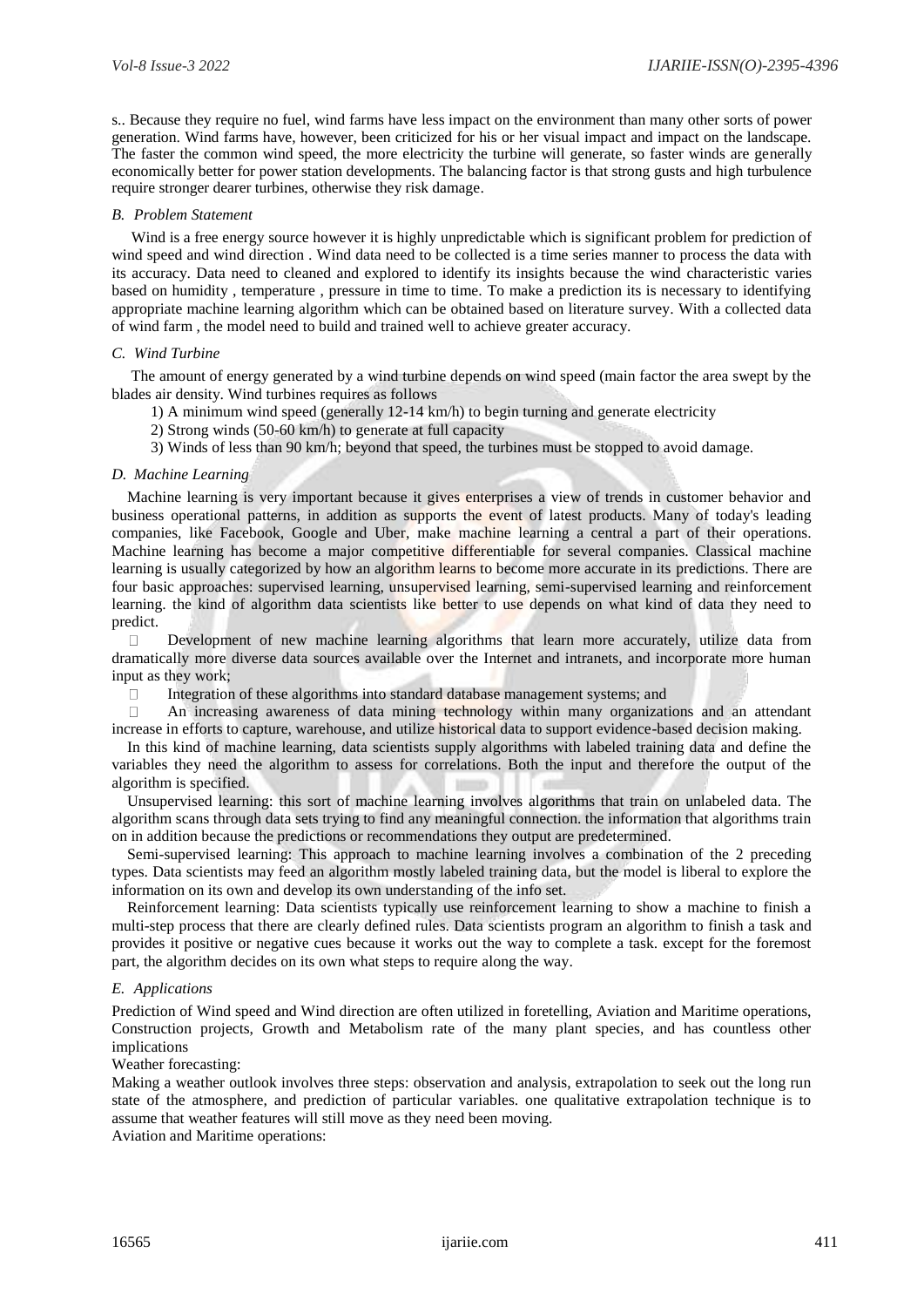s.. Because they require no fuel, wind farms have less impact on the environment than many other sorts of power generation. Wind farms have, however, been criticized for his or her visual impact and impact on the landscape. The faster the common wind speed, the more electricity the turbine will generate, so faster winds are generally economically better for power station developments. The balancing factor is that strong gusts and high turbulence require stronger dearer turbines, otherwise they risk damage.

#### *B. Problem Statement*

 Wind is a free energy source however it is highly unpredictable which is significant problem for prediction of wind speed and wind direction . Wind data need to be collected is a time series manner to process the data with its accuracy. Data need to cleaned and explored to identify its insights because the wind characteristic varies based on humidity , temperature , pressure in time to time. To make a prediction its is necessary to identifying appropriate machine learning algorithm which can be obtained based on literature survey. With a collected data of wind farm , the model need to build and trained well to achieve greater accuracy.

## *C. Wind Turbine*

 The amount of energy generated by a wind turbine depends on wind speed (main factor the area swept by the blades air density. Wind turbines requires as follows

- 1) A minimum wind speed (generally 12-14 km/h) to begin turning and generate electricity
- 2) Strong winds (50-60 km/h) to generate at full capacity
- 3) Winds of less than 90 km/h; beyond that speed, the turbines must be stopped to avoid damage.

## *D. Machine Learning*

Machine learning is very important because it gives enterprises a view of trends in customer behavior and business operational patterns, in addition as supports the event of latest products. Many of today's leading companies, like Facebook, Google and Uber, make machine learning a central a part of their operations. Machine learning has become a major competitive differentiable for several companies. Classical machine learning is usually categorized by how an algorithm learns to become more accurate in its predictions. There are four basic approaches: supervised learning, unsupervised learning, semi-supervised learning and reinforcement learning, the kind of algorithm data scientists like better to use depends on what kind of data they need to predict.

 $\Box$ Development of new machine learning algorithms that learn more accurately, utilize data from dramatically more diverse data sources available over the Internet and intranets, and incorporate more human input as they work;

 $\Box$ Integration of these algorithms into standard database management systems; and

 $\Box$ An increasing awareness of data mining technology within many organizations and an attendant increase in efforts to capture, warehouse, and utilize historical data to support evidence-based decision making.

In this kind of machine learning, data scientists supply algorithms with labeled training data and define the variables they need the algorithm to assess for correlations. Both the input and therefore the output of the algorithm is specified.

Unsupervised learning: this sort of machine learning involves algorithms that train on unlabeled data. The algorithm scans through data sets trying to find any meaningful connection. the information that algorithms train on in addition because the predictions or recommendations they output are predetermined.

Semi-supervised learning: This approach to machine learning involves a combination of the 2 preceding types. Data scientists may feed an algorithm mostly labeled training data, but the model is liberal to explore the information on its own and develop its own understanding of the info set.

Reinforcement learning: Data scientists typically use reinforcement learning to show a machine to finish a multi-step process that there are clearly defined rules. Data scientists program an algorithm to finish a task and provides it positive or negative cues because it works out the way to complete a task. except for the foremost part, the algorithm decides on its own what steps to require along the way.

#### *E. Applications*

Prediction of Wind speed and Wind direction are often utilized in foretelling, Aviation and Maritime operations, Construction projects, Growth and Metabolism rate of the many plant species, and has countless other implications

Weather forecasting:

Making a weather outlook involves three steps: observation and analysis, extrapolation to seek out the long run state of the atmosphere, and prediction of particular variables. one qualitative extrapolation technique is to assume that weather features will still move as they need been moving.

Aviation and Maritime operations: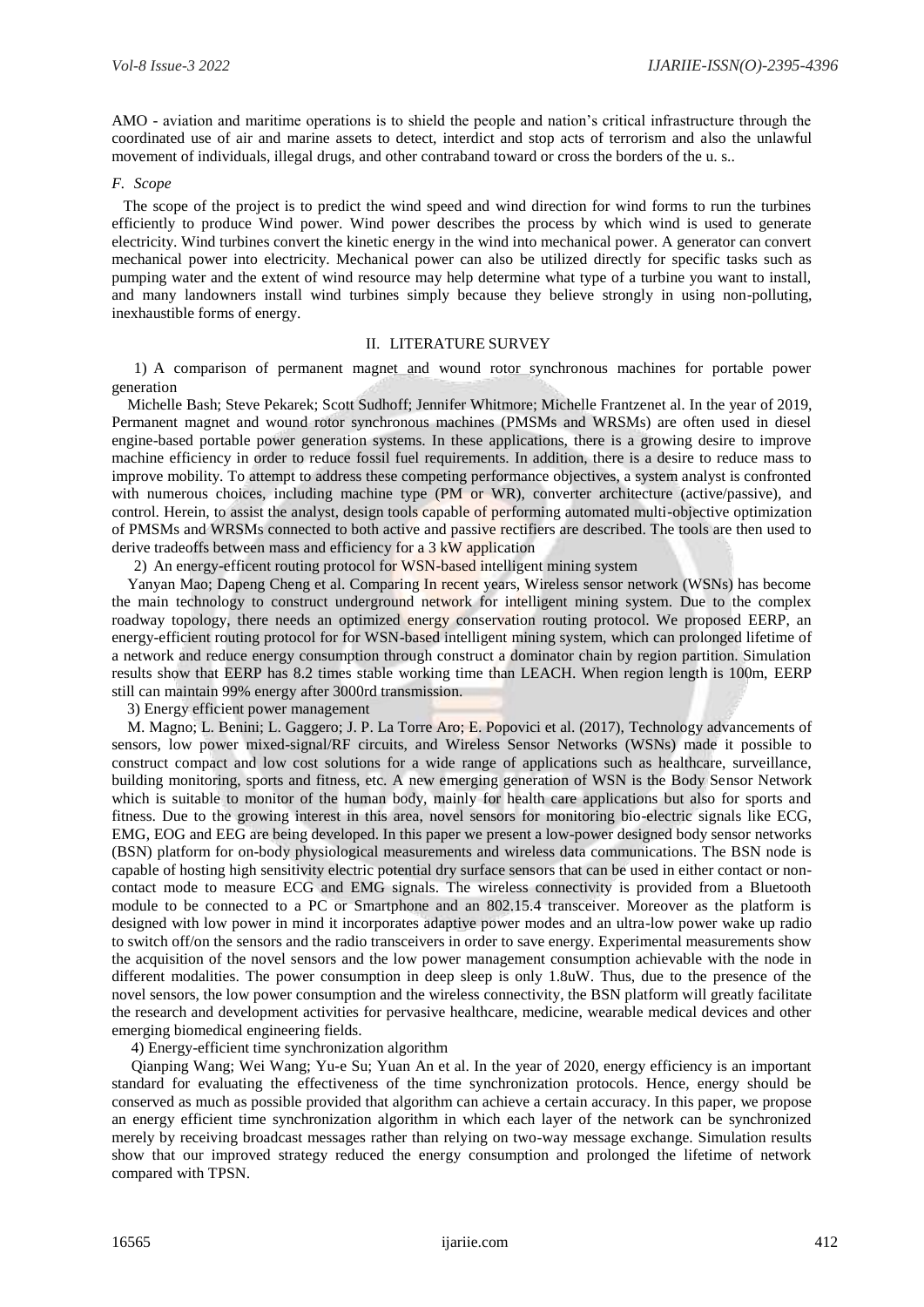AMO - aviation and maritime operations is to shield the people and nation's critical infrastructure through the coordinated use of air and marine assets to detect, interdict and stop acts of terrorism and also the unlawful movement of individuals, illegal drugs, and other contraband toward or cross the borders of the u. s..

#### *F. Scope*

 The scope of the project is to predict the wind speed and wind direction for wind forms to run the turbines efficiently to produce Wind power. Wind power describes the process by which wind is used to generate electricity. Wind turbines convert the kinetic energy in the wind into mechanical power. A generator can convert mechanical power into electricity. Mechanical power can also be utilized directly for specific tasks such as pumping water and the extent of wind resource may help determine what type of a turbine you want to install, and many landowners install wind turbines simply because they believe strongly in using non-polluting, inexhaustible forms of energy.

## II. LITERATURE SURVEY

1) A comparison of permanent magnet and wound rotor synchronous machines for portable power generation

 Michelle Bash; Steve Pekarek; Scott Sudhoff; Jennifer Whitmore; Michelle Frantzenet al. In the year of 2019, Permanent magnet and wound rotor synchronous machines (PMSMs and WRSMs) are often used in diesel engine-based portable power generation systems. In these applications, there is a growing desire to improve machine efficiency in order to reduce fossil fuel requirements. In addition, there is a desire to reduce mass to improve mobility. To attempt to address these competing performance objectives, a system analyst is confronted with numerous choices, including machine type (PM or WR), converter architecture (active/passive), and control. Herein, to assist the analyst, design tools capable of performing automated multi-objective optimization of PMSMs and WRSMs connected to both active and passive rectifiers are described. The tools are then used to derive tradeoffs between mass and efficiency for a 3 kW application

2) An energy-efficent routing protocol for WSN-based intelligent mining system

 Yanyan Mao; Dapeng Cheng et al. Comparing In recent years, Wireless sensor network (WSNs) has become the main technology to construct underground network for intelligent mining system. Due to the complex roadway topology, there needs an optimized energy conservation routing protocol. We proposed EERP, an energy-efficient routing protocol for for WSN-based intelligent mining system, which can prolonged lifetime of a network and reduce energy consumption through construct a dominator chain by region partition. Simulation results show that EERP has 8.2 times stable working time than LEACH. When region length is 100m, EERP still can maintain 99% energy after 3000rd transmission.

3) Energy efficient power management

 M. Magno; L. Benini; L. Gaggero; J. P. La Torre Aro; E. Popovici et al. (2017), Technology advancements of sensors, low power mixed-signal/RF circuits, and Wireless Sensor Networks (WSNs) made it possible to construct compact and low cost solutions for a wide range of applications such as healthcare, surveillance, building monitoring, sports and fitness, etc. A new emerging generation of WSN is the Body Sensor Network which is suitable to monitor of the human body, mainly for health care applications but also for sports and fitness. Due to the growing interest in this area, novel sensors for monitoring bio-electric signals like ECG, EMG, EOG and EEG are being developed. In this paper we present a low-power designed body sensor networks (BSN) platform for on-body physiological measurements and wireless data communications. The BSN node is capable of hosting high sensitivity electric potential dry surface sensors that can be used in either contact or noncontact mode to measure ECG and EMG signals. The wireless connectivity is provided from a Bluetooth module to be connected to a PC or Smartphone and an 802.15.4 transceiver. Moreover as the platform is designed with low power in mind it incorporates adaptive power modes and an ultra-low power wake up radio to switch off/on the sensors and the radio transceivers in order to save energy. Experimental measurements show the acquisition of the novel sensors and the low power management consumption achievable with the node in different modalities. The power consumption in deep sleep is only 1.8uW. Thus, due to the presence of the novel sensors, the low power consumption and the wireless connectivity, the BSN platform will greatly facilitate the research and development activities for pervasive healthcare, medicine, wearable medical devices and other emerging biomedical engineering fields.

4) Energy-efficient time synchronization algorithm

 Qianping Wang; Wei Wang; Yu-e Su; Yuan An et al. In the year of 2020, energy efficiency is an important standard for evaluating the effectiveness of the time synchronization protocols. Hence, energy should be conserved as much as possible provided that algorithm can achieve a certain accuracy. In this paper, we propose an energy efficient time synchronization algorithm in which each layer of the network can be synchronized merely by receiving broadcast messages rather than relying on two-way message exchange. Simulation results show that our improved strategy reduced the energy consumption and prolonged the lifetime of network compared with TPSN.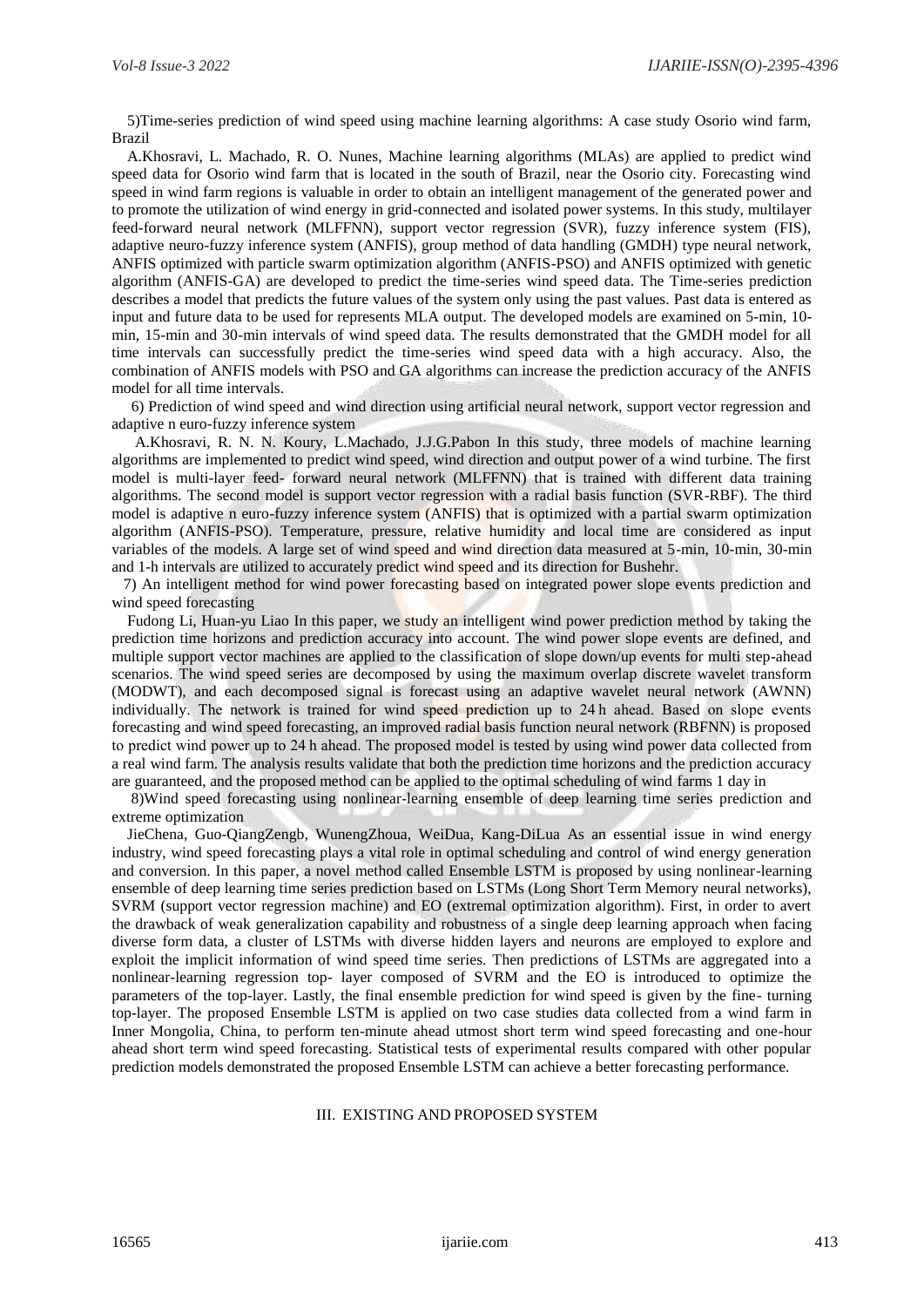5)Time-series prediction of wind speed using machine learning algorithms: A case study Osorio wind farm, Brazil

A.Khosravi, L. Machado, R. O. Nunes, Machine learning algorithms (MLAs) are applied to predict wind speed data for Osorio wind farm that is located in the south of Brazil, near the Osorio city. Forecasting wind speed in wind farm regions is valuable in order to obtain an intelligent management of the generated power and to promote the utilization of wind energy in grid-connected and isolated power systems. In this study, multilayer feed-forward neural network (MLFFNN), support vector regression (SVR), fuzzy inference system (FIS), adaptive neuro-fuzzy inference system (ANFIS), group method of data handling (GMDH) type neural network, ANFIS optimized with particle swarm optimization algorithm (ANFIS-PSO) and ANFIS optimized with genetic algorithm (ANFIS-GA) are developed to predict the time-series wind speed data. The Time-series prediction describes a model that predicts the future values of the system only using the past values. Past data is entered as input and future data to be used for represents MLA output. The developed models are examined on 5-min, 10 min, 15-min and 30-min intervals of wind speed data. The results demonstrated that the GMDH model for all time intervals can successfully predict the time-series wind speed data with a high accuracy. Also, the combination of ANFIS models with PSO and GA algorithms can increase the prediction accuracy of the ANFIS model for all time intervals.

 6) Prediction of wind speed and wind direction using artificial neural network, support vector regression and adaptive n euro-fuzzy inference system

 A.Khosravi, R. N. N. Koury, L.Machado, J.J.G.Pabon In this study, three models of machine learning algorithms are implemented to predict wind speed, wind direction and output power of a wind turbine. The first model is multi-layer feed- forward neural network (MLFFNN) that is trained with different data training algorithms. The second model is support vector regression with a radial basis function (SVR-RBF). The third model is adaptive n euro-fuzzy inference system (ANFIS) that is optimized with a partial swarm optimization algorithm (ANFIS-PSO). Temperature, pressure, relative humidity and local time are considered as input variables of the models. A large set of wind speed and wind direction data measured at 5-min, 10-min, 30-min and 1-h intervals are utilized to accurately predict wind speed and its direction for Bushehr.

 7) An intelligent method for wind power forecasting based on integrated power slope events prediction and wind speed forecasting

Fudong Li, Huan-yu Liao In this paper, we study an intelligent wind power prediction method by taking the prediction time horizons and prediction accuracy into account. The wind power slope events are defined, and multiple support vector machines are applied to the classification of slope down/up events for multi step-ahead scenarios. The wind speed series are decomposed by using the maximum overlap discrete wavelet transform (MODWT), and each decomposed signal is forecast using an adaptive wavelet neural network (AWNN) individually. The network is trained for wind speed prediction up to 24 h ahead. Based on slope events forecasting and wind speed forecasting, an improved radial basis function neural network (RBFNN) is proposed to predict wind power up to 24 h ahead. The proposed model is tested by using wind power data collected from a real wind farm. The analysis results validate that both the prediction time horizons and the prediction accuracy are guaranteed, and the proposed method can be applied to the optimal scheduling of wind farms 1 day in

8)Wind speed forecasting using nonlinear-learning ensemble of deep learning time series prediction and extreme optimization

JieChena, Guo-QiangZengb, WunengZhoua, WeiDua, Kang-DiLua As an essential issue in wind energy industry, wind speed forecasting plays a vital role in optimal scheduling and control of wind energy generation and conversion. In this paper, a novel method called Ensemble LSTM is proposed by using nonlinear-learning ensemble of deep learning time series prediction based on LSTMs (Long Short Term Memory neural networks), SVRM (support vector regression machine) and EO (extremal optimization algorithm). First, in order to avert the drawback of weak generalization capability and robustness of a single deep learning approach when facing diverse form data, a cluster of LSTMs with diverse hidden layers and neurons are employed to explore and exploit the implicit information of wind speed time series. Then predictions of LSTMs are aggregated into a nonlinear-learning regression top- layer composed of SVRM and the EO is introduced to optimize the parameters of the top-layer. Lastly, the final ensemble prediction for wind speed is given by the fine- turning top-layer. The proposed Ensemble LSTM is applied on two case studies data collected from a wind farm in Inner Mongolia, China, to perform ten-minute ahead utmost short term wind speed forecasting and one-hour ahead short term wind speed forecasting. Statistical tests of experimental results compared with other popular prediction models demonstrated the proposed Ensemble LSTM can achieve a better forecasting performance.

## III. EXISTING AND PROPOSED SYSTEM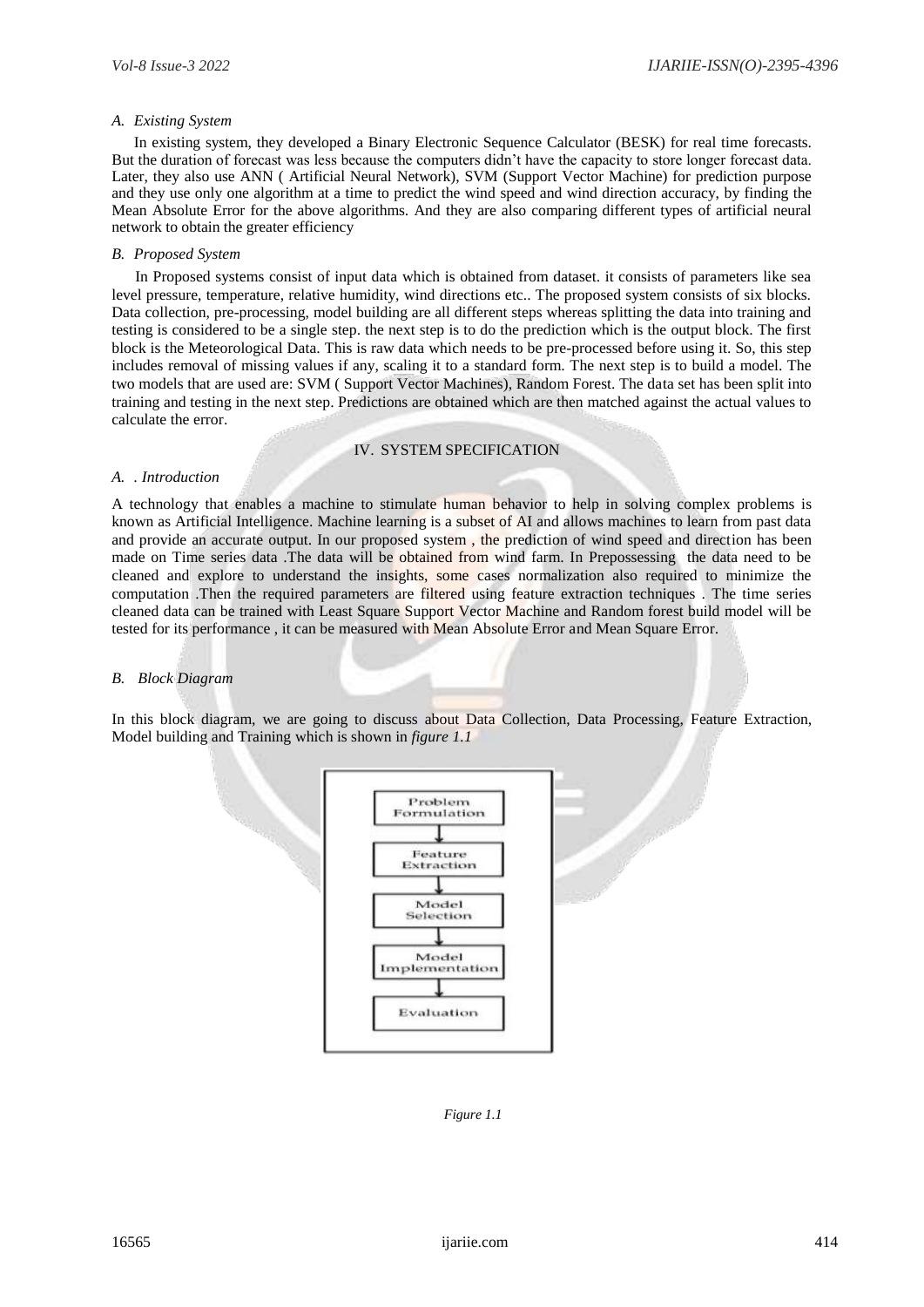## *A. Existing System*

In existing system, they developed a Binary Electronic Sequence Calculator (BESK) for real time forecasts. But the duration of forecast was less because the computers didn't have the capacity to store longer forecast data. Later, they also use ANN ( Artificial Neural Network), SVM (Support Vector Machine) for prediction purpose and they use only one algorithm at a time to predict the wind speed and wind direction accuracy, by finding the Mean Absolute Error for the above algorithms. And they are also comparing different types of artificial neural network to obtain the greater efficiency

# *B. Proposed System*

 In Proposed systems consist of input data which is obtained from dataset. it consists of parameters like sea level pressure, temperature, relative humidity, wind directions etc.. The proposed system consists of six blocks. Data collection, pre-processing, model building are all different steps whereas splitting the data into training and testing is considered to be a single step. the next step is to do the prediction which is the output block. The first block is the Meteorological Data. This is raw data which needs to be pre-processed before using it. So, this step includes removal of missing values if any, scaling it to a standard form. The next step is to build a model. The two models that are used are: SVM ( Support Vector Machines), Random Forest. The data set has been split into training and testing in the next step. Predictions are obtained which are then matched against the actual values to calculate the error.

## IV. SYSTEM SPECIFICATION

#### *A. . Introduction*

A technology that enables a machine to stimulate human behavior to help in solving complex problems is known as Artificial Intelligence. Machine learning is a subset of AI and allows machines to learn from past data and provide an accurate output. In our proposed system , the prediction of wind speed and direction has been made on Time series data .The data will be obtained from wind farm. In Prepossessing the data need to be cleaned and explore to understand the insights, some cases normalization also required to minimize the computation .Then the required parameters are filtered using feature extraction techniques . The time series cleaned data can be trained with Least Square Support Vector Machine and Random forest build model will be tested for its performance , it can be measured with Mean Absolute Error and Mean Square Error.

## *B. Block Diagram*

In this block diagram, we are going to discuss about Data Collection, Data Processing, Feature Extraction, Model building and Training which is shown in *figure 1.1*



*Figure 1.1*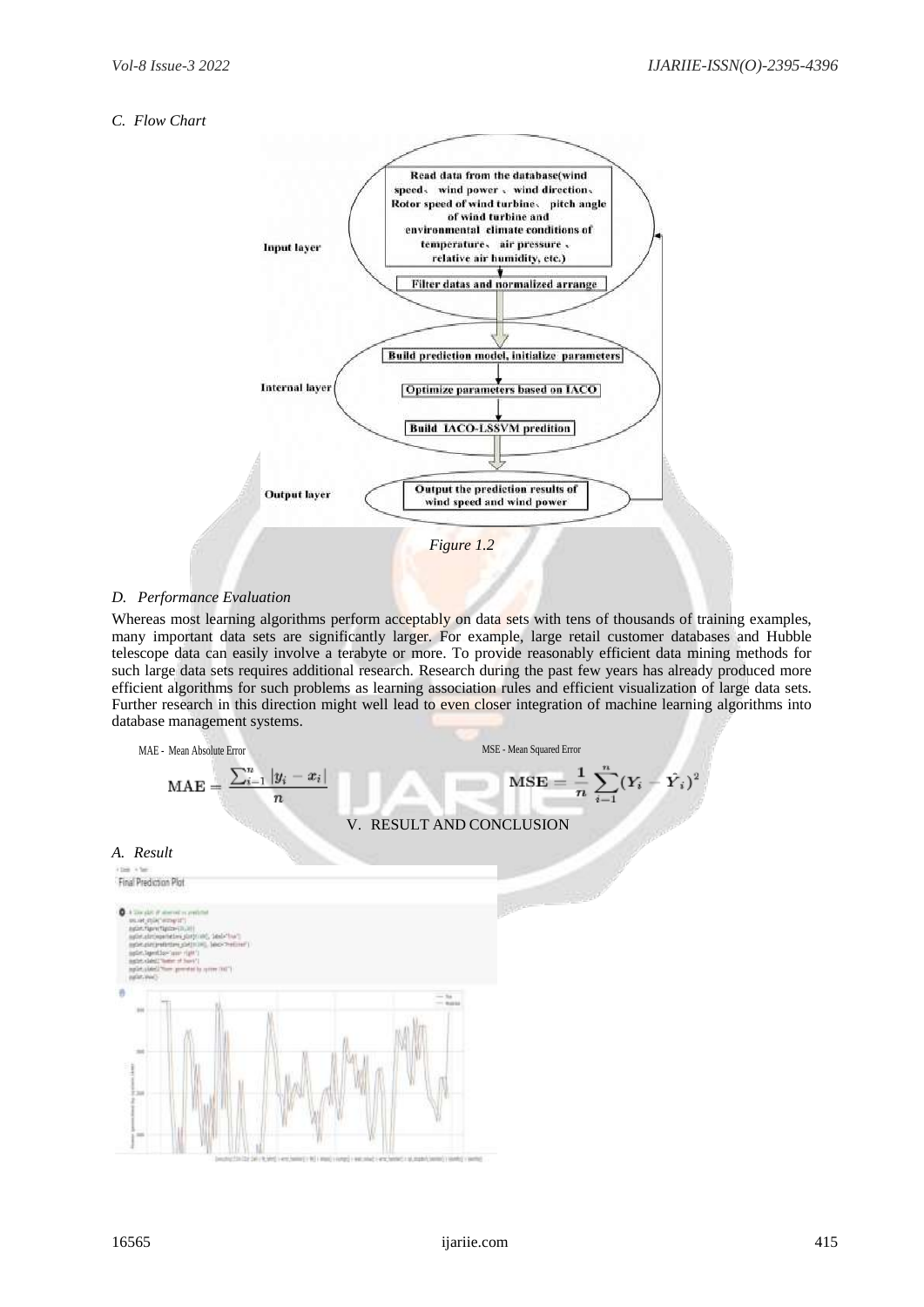# *C. Flow Chart*



# *D. Performance Evaluation*

Whereas most learning algorithms perform acceptably on data sets with tens of thousands of training examples, many important data sets are significantly larger. For example, large retail customer databases and Hubble telescope data can easily involve a terabyte or more. To provide reasonably efficient data mining methods for such large data sets requires additional research. Research during the past few years has already produced more efficient algorithms for such problems as learning association rules and efficient visualization of large data sets. Further research in this direction might well lead to even closer integration of machine learning algorithms into database management systems.